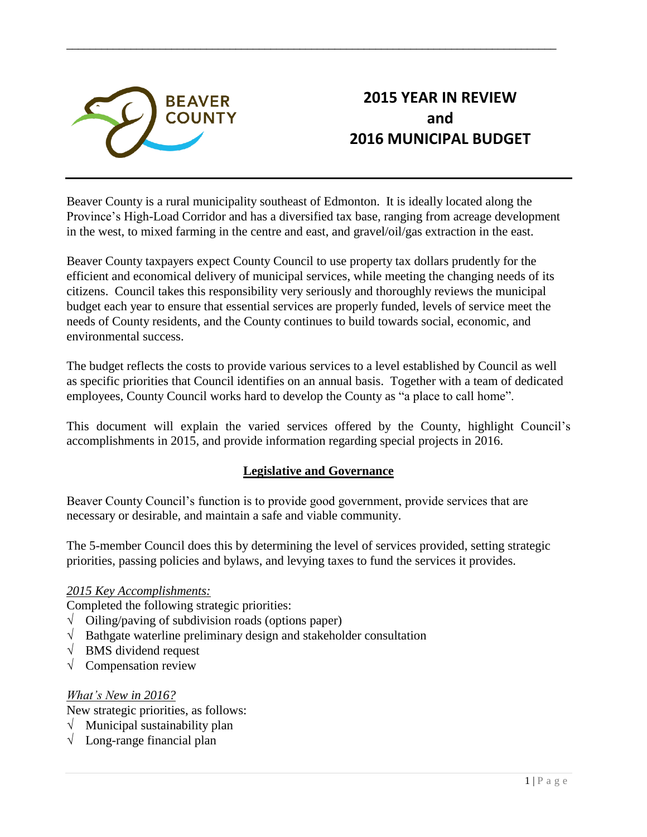

# **2015 YEAR IN REVIEW and 2016 MUNICIPAL BUDGET**

Beaver County is a rural municipality southeast of Edmonton. It is ideally located along the Province's High-Load Corridor and has a diversified tax base, ranging from acreage development in the west, to mixed farming in the centre and east, and gravel/oil/gas extraction in the east.

\_\_\_\_\_\_\_\_\_\_\_\_\_\_\_\_\_\_\_\_\_\_\_\_\_\_\_\_\_\_\_\_\_\_\_\_\_\_\_\_\_\_\_\_\_\_\_\_\_\_\_\_\_\_\_\_\_\_\_\_\_\_\_\_\_\_\_\_\_\_\_\_\_\_\_\_\_\_\_\_\_\_\_\_

Beaver County taxpayers expect County Council to use property tax dollars prudently for the efficient and economical delivery of municipal services, while meeting the changing needs of its citizens. Council takes this responsibility very seriously and thoroughly reviews the municipal budget each year to ensure that essential services are properly funded, levels of service meet the needs of County residents, and the County continues to build towards social, economic, and environmental success.

The budget reflects the costs to provide various services to a level established by Council as well as specific priorities that Council identifies on an annual basis. Together with a team of dedicated employees, County Council works hard to develop the County as "a place to call home".

This document will explain the varied services offered by the County, highlight Council's accomplishments in 2015, and provide information regarding special projects in 2016.

## **Legislative and Governance**

Beaver County Council's function is to provide good government, provide services that are necessary or desirable, and maintain a safe and viable community.

The 5-member Council does this by determining the level of services provided, setting strategic priorities, passing policies and bylaws, and levying taxes to fund the services it provides.

## *2015 Key Accomplishments:*

Completed the following strategic priorities:

- $\sqrt{\frac{1}{\text{Oiling}}\text{paving of subdivision roads (options paper)}}$
- $\sqrt{\phantom{a}}$  Bathgate waterline preliminary design and stakeholder consultation
- √ BMS dividend request
- $\sqrt{\phantom{a}}$  Compensation review

#### *What's New in 2016?*

New strategic priorities, as follows:

- $\sqrt{\frac{1}{\sqrt{1}}}$  Municipal sustainability plan
- √ Long-range financial plan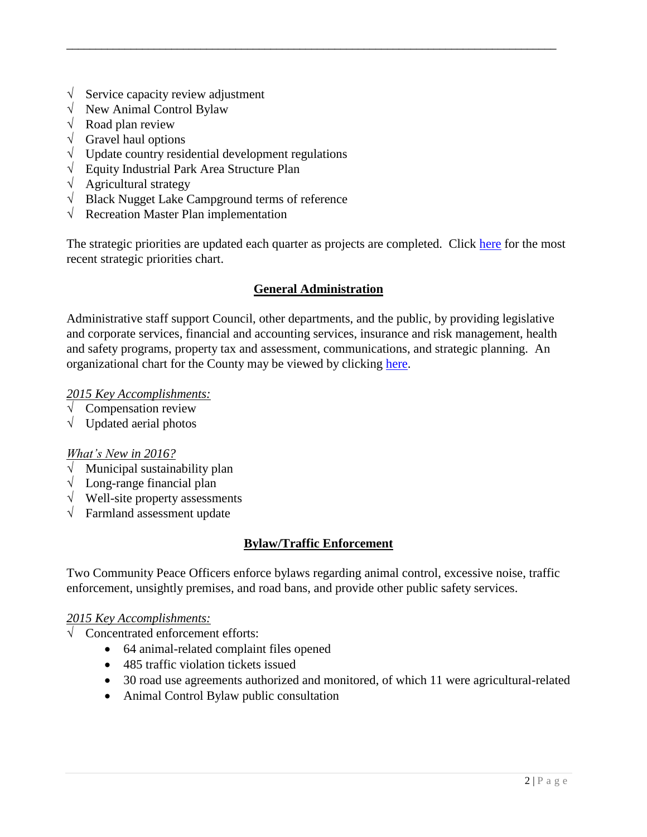- Service capacity review adjustment
- √ New Animal Control Bylaw
- $\sqrt{\phantom{a}}$  Road plan review
- $\sqrt{\phantom{a}}$  Gravel haul options
- $\sqrt{\phantom{a}}$  Update country residential development regulations
- √ Equity Industrial Park Area Structure Plan
- √ Agricultural strategy
- √ Black Nugget Lake Campground terms of reference
- √ Recreation Master Plan implementation

The strategic priorities are updated each quarter as projects are completed. Click [here](http://beaver.ab.ca/public/download/documents/11152) for the most recent strategic priorities chart.

\_\_\_\_\_\_\_\_\_\_\_\_\_\_\_\_\_\_\_\_\_\_\_\_\_\_\_\_\_\_\_\_\_\_\_\_\_\_\_\_\_\_\_\_\_\_\_\_\_\_\_\_\_\_\_\_\_\_\_\_\_\_\_\_\_\_\_\_\_\_\_\_\_\_\_\_\_\_\_\_\_\_\_\_

#### **General Administration**

Administrative staff support Council, other departments, and the public, by providing legislative and corporate services, financial and accounting services, insurance and risk management, health and safety programs, property tax and assessment, communications, and strategic planning. An organizational chart for the County may be viewed by clicking [here.](http://site1.beaver.ab.ca.webguidecms.ca/public/download/documents/11154)

#### *2015 Key Accomplishments:*

- $\sqrt{\phantom{a}}$  Compensation review
- $\sqrt{\phantom{a}}$  Updated aerial photos

#### *What's New in 2016?*

- $\sqrt{\frac{1}{\sqrt{1}}}$  Municipal sustainability plan
- $\sqrt{\phantom{a}}$  Long-range financial plan
- √ Well-site property assessments
- $\sqrt{\ }$  Farmland assessment update

## **Bylaw/Traffic Enforcement**

Two Community Peace Officers enforce bylaws regarding animal control, excessive noise, traffic enforcement, unsightly premises, and road bans, and provide other public safety services.

#### *2015 Key Accomplishments:*

- √ Concentrated enforcement efforts:
	- 64 animal-related complaint files opened
	- 485 traffic violation tickets issued
	- 30 road use agreements authorized and monitored, of which 11 were agricultural-related
	- Animal Control Bylaw public consultation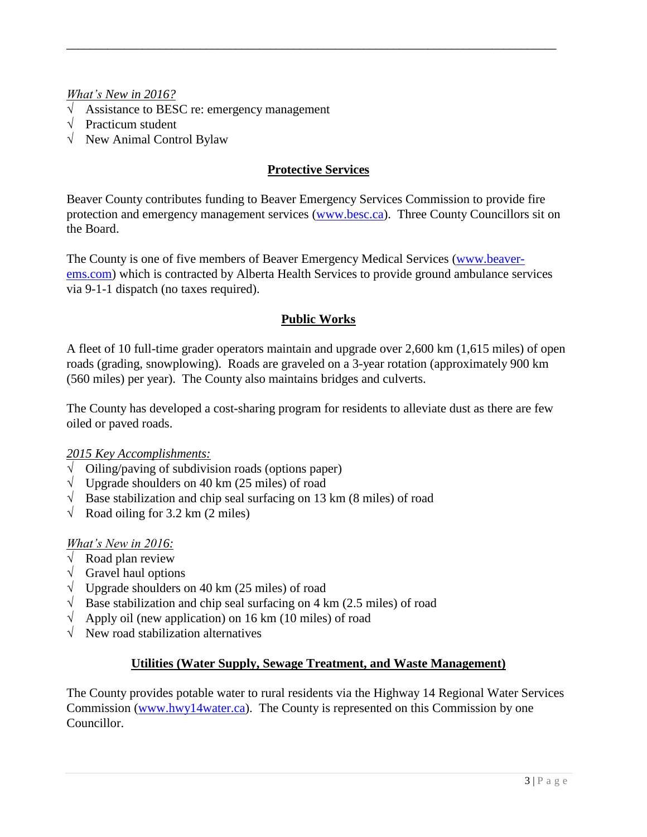## *What's New in 2016?*

- $\sqrt{\phantom{a}}$  Assistance to BESC re: emergency management
- $\sqrt{\phantom{a}}$  Practicum student
- √ New Animal Control Bylaw

### **Protective Services**

\_\_\_\_\_\_\_\_\_\_\_\_\_\_\_\_\_\_\_\_\_\_\_\_\_\_\_\_\_\_\_\_\_\_\_\_\_\_\_\_\_\_\_\_\_\_\_\_\_\_\_\_\_\_\_\_\_\_\_\_\_\_\_\_\_\_\_\_\_\_\_\_\_\_\_\_\_\_\_\_\_\_\_\_

Beaver County contributes funding to Beaver Emergency Services Commission to provide fire protection and emergency management services [\(www.besc.ca\)](http://www.besc.ca/). Three County Councillors sit on the Board.

The County is one of five members of Beaver Emergency Medical Services [\(www.beaver](http://www.beaver-ems.com/)[ems.com\)](http://www.beaver-ems.com/) which is contracted by Alberta Health Services to provide ground ambulance services via 9-1-1 dispatch (no taxes required).

## **Public Works**

A fleet of 10 full-time grader operators maintain and upgrade over 2,600 km (1,615 miles) of open roads (grading, snowplowing). Roads are graveled on a 3-year rotation (approximately 900 km (560 miles) per year). The County also maintains bridges and culverts.

The County has developed a cost-sharing program for residents to alleviate dust as there are few oiled or paved roads.

#### *2015 Key Accomplishments:*

- $\sqrt{\frac{1}{\sqrt{1-\frac{1}{\sqrt{1-\frac{1}{\sqrt{1-\frac{1}{\sqrt{1-\frac{1}{\sqrt{1-\frac{1}{\sqrt{1-\frac{1}{\sqrt{1-\frac{1}{\sqrt{1-\frac{1}{\sqrt{1-\frac{1}{\sqrt{1-\frac{1}{\sqrt{1-\frac{1}{\sqrt{1-\frac{1}{\sqrt{1-\frac{1}{\sqrt{1-\frac{1}{\sqrt{1-\frac{1}{\sqrt{1-\frac{1}{\sqrt{1-\frac{1}{\sqrt{1-\frac{1}{\sqrt{1-\frac{1}{\sqrt{1-\frac{1}{\sqrt{1-\frac{1}{\sqrt{1-\frac{1}{\sqrt{1-\frac{1}{\sqrt{1-\frac$
- $\sqrt{\frac{1}{\sqrt{1}} \cdot \frac{1}{\sqrt{1}} \cdot \frac{1}{\sqrt{1}} \cdot \frac{1}{\sqrt{1}}}}$  Upgrade shoulders on 40 km (25 miles) of road
- $\sqrt{\phantom{a}}$  Base stabilization and chip seal surfacing on 13 km (8 miles) of road
- $\sqrt{\phantom{a}}$  Road oiling for 3.2 km (2 miles)

#### *What's New in 2016:*

- $\sqrt{\phantom{a}}$  Road plan review
- $\sqrt{\phantom{a}}$  Gravel haul options
- $\sqrt{\phantom{a}}$  Upgrade shoulders on 40 km (25 miles) of road
- $\sqrt{\phantom{a}}$  Base stabilization and chip seal surfacing on 4 km (2.5 miles) of road
- $\sqrt{\phantom{a}}$  Apply oil (new application) on 16 km (10 miles) of road
- √ New road stabilization alternatives

#### **Utilities (Water Supply, Sewage Treatment, and Waste Management)**

The County provides potable water to rural residents via the Highway 14 Regional Water Services Commission [\(www.hwy14water.ca\)](http://www.hwy14water.ca/). The County is represented on this Commission by one Councillor.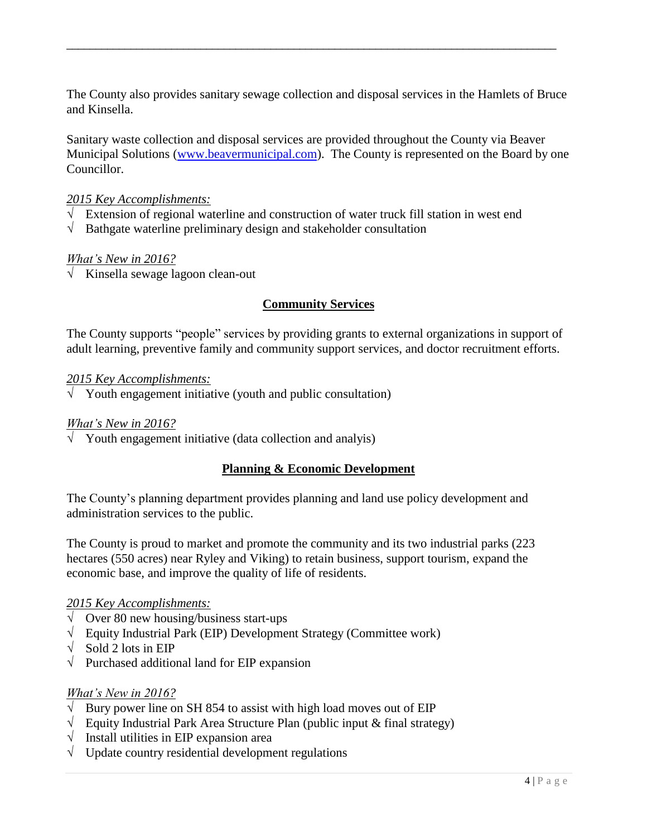The County also provides sanitary sewage collection and disposal services in the Hamlets of Bruce and Kinsella.

\_\_\_\_\_\_\_\_\_\_\_\_\_\_\_\_\_\_\_\_\_\_\_\_\_\_\_\_\_\_\_\_\_\_\_\_\_\_\_\_\_\_\_\_\_\_\_\_\_\_\_\_\_\_\_\_\_\_\_\_\_\_\_\_\_\_\_\_\_\_\_\_\_\_\_\_\_\_\_\_\_\_\_\_

Sanitary waste collection and disposal services are provided throughout the County via Beaver Municipal Solutions [\(www.beavermunicipal.com\)](http://www.beavermunicipal.com/). The County is represented on the Board by one Councillor.

### *2015 Key Accomplishments:*

- √ Extension of regional waterline and construction of water truck fill station in west end
- $\sqrt{\phantom{a}}$  Bathgate waterline preliminary design and stakeholder consultation

#### *What's New in 2016?*

√ Kinsella sewage lagoon clean-out

## **Community Services**

The County supports "people" services by providing grants to external organizations in support of adult learning, preventive family and community support services, and doctor recruitment efforts.

#### *2015 Key Accomplishments:*

 $\sqrt{\phantom{a}}$  Youth engagement initiative (youth and public consultation)

#### *What's New in 2016?*

 $\sqrt{\phantom{a}}$  Youth engagement initiative (data collection and analyis)

## **Planning & Economic Development**

The County's planning department provides planning and land use policy development and administration services to the public.

The County is proud to market and promote the community and its two industrial parks (223 hectares (550 acres) near Ryley and Viking) to retain business, support tourism, expand the economic base, and improve the quality of life of residents.

#### *2015 Key Accomplishments:*

- $\sqrt{\sqrt{O} \text{ver } 80 \text{ new}}$  housing/business start-ups
- √ Equity Industrial Park (EIP) Development Strategy (Committee work)
- $\sqrt{\phantom{a}}$  Sold 2 lots in EIP
- $\sqrt{\phantom{a}}$  Purchased additional land for EIP expansion

#### *What's New in 2016?*

- Bury power line on SH 854 to assist with high load moves out of EIP
- √ Equity Industrial Park Area Structure Plan (public input & final strategy)
- $\sqrt{\phantom{a}}$  Install utilities in EIP expansion area
- $\sqrt{\phantom{a}}$  Update country residential development regulations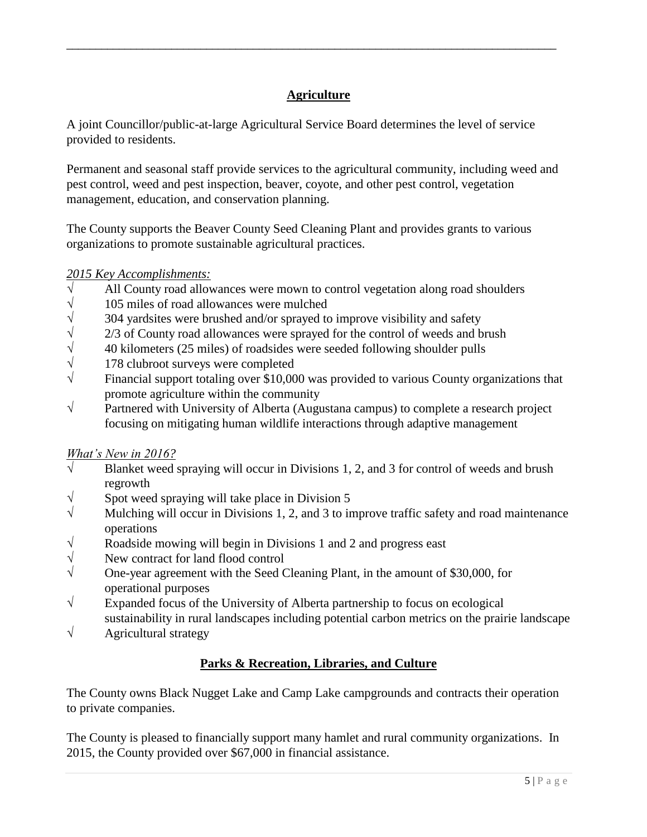## **Agriculture**

\_\_\_\_\_\_\_\_\_\_\_\_\_\_\_\_\_\_\_\_\_\_\_\_\_\_\_\_\_\_\_\_\_\_\_\_\_\_\_\_\_\_\_\_\_\_\_\_\_\_\_\_\_\_\_\_\_\_\_\_\_\_\_\_\_\_\_\_\_\_\_\_\_\_\_\_\_\_\_\_\_\_\_\_

A joint Councillor/public-at-large Agricultural Service Board determines the level of service provided to residents.

Permanent and seasonal staff provide services to the agricultural community, including weed and pest control, weed and pest inspection, beaver, coyote, and other pest control, vegetation management, education, and conservation planning.

The County supports the Beaver County Seed Cleaning Plant and provides grants to various organizations to promote sustainable agricultural practices.

## *2015 Key Accomplishments:*

- √ All County road allowances were mown to control vegetation along road shoulders
- $\sqrt{\frac{105}{304}}$  miles of road allowances were mulched  $\sqrt{\frac{304}{304}}$  vardsites were brushed and/or sprayed to
- $\sqrt{\frac{304}{7}}$  304 yardsites were brushed and/or sprayed to improve visibility and safety  $\sqrt{\frac{2}{3}}$  of County road allowances were sprayed for the control of weeds and b
- 2/3 of County road allowances were sprayed for the control of weeds and brush
- $\sqrt{40}$  40 kilometers (25 miles) of roadsides were seeded following shoulder pulls
- $\sqrt{178}$  clubroot surveys were completed
- $\sqrt{\phantom{a}}$  Financial support totaling over \$10,000 was provided to various County organizations that promote agriculture within the community
- √ Partnered with University of Alberta (Augustana campus) to complete a research project focusing on mitigating human wildlife interactions through adaptive management

## *What's New in 2016?*

- $\sqrt{\phantom{a}}$  Blanket weed spraying will occur in Divisions 1, 2, and 3 for control of weeds and brush regrowth
- $\sqrt{\ }$  Spot weed spraying will take place in Division 5
- $\sqrt{\phantom{a}}$  Mulching will occur in Divisions 1, 2, and 3 to improve traffic safety and road maintenance operations
- $\sqrt{\phantom{a}}$  Roadside mowing will begin in Divisions 1 and 2 and progress east
- √ New contract for land flood control
- $\sqrt{\phantom{a}}$  One-year agreement with the Seed Cleaning Plant, in the amount of \$30,000, for operational purposes
- √ Expanded focus of the University of Alberta partnership to focus on ecological sustainability in rural landscapes including potential carbon metrics on the prairie landscape
- $\sqrt{\phantom{a}}$  Agricultural strategy

## **Parks & Recreation, Libraries, and Culture**

The County owns Black Nugget Lake and Camp Lake campgrounds and contracts their operation to private companies.

The County is pleased to financially support many hamlet and rural community organizations. In 2015, the County provided over \$67,000 in financial assistance.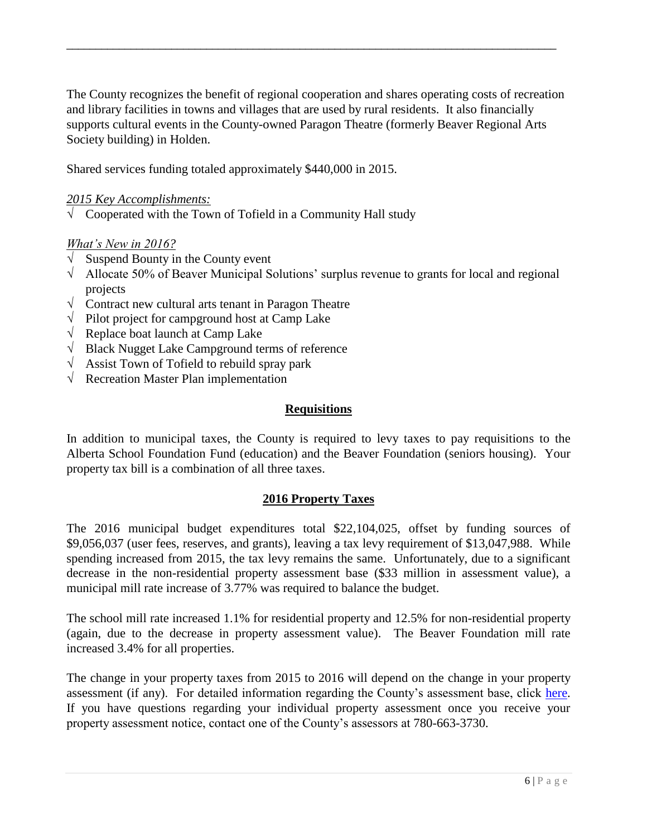The County recognizes the benefit of regional cooperation and shares operating costs of recreation and library facilities in towns and villages that are used by rural residents. It also financially supports cultural events in the County-owned Paragon Theatre (formerly Beaver Regional Arts Society building) in Holden.

\_\_\_\_\_\_\_\_\_\_\_\_\_\_\_\_\_\_\_\_\_\_\_\_\_\_\_\_\_\_\_\_\_\_\_\_\_\_\_\_\_\_\_\_\_\_\_\_\_\_\_\_\_\_\_\_\_\_\_\_\_\_\_\_\_\_\_\_\_\_\_\_\_\_\_\_\_\_\_\_\_\_\_\_

Shared services funding totaled approximately \$440,000 in 2015.

### *2015 Key Accomplishments:*

 $\sqrt{\phantom{a}}$  Cooperated with the Town of Tofield in a Community Hall study

#### *What's New in 2016?*

- $\sqrt{\phantom{a}}$  Suspend Bounty in the County event
- $\sqrt{\phantom{a}}$  Allocate 50% of Beaver Municipal Solutions' surplus revenue to grants for local and regional projects
- √ Contract new cultural arts tenant in Paragon Theatre
- Pilot project for campground host at Camp Lake
- √ Replace boat launch at Camp Lake
- √ Black Nugget Lake Campground terms of reference
- √ Assist Town of Tofield to rebuild spray park
- $\sqrt{\phantom{a}}$  Recreation Master Plan implementation

#### **Requisitions**

In addition to municipal taxes, the County is required to levy taxes to pay requisitions to the Alberta School Foundation Fund (education) and the Beaver Foundation (seniors housing). Your property tax bill is a combination of all three taxes.

#### **2016 Property Taxes**

The 2016 municipal budget expenditures total \$22,104,025, offset by funding sources of \$9,056,037 (user fees, reserves, and grants), leaving a tax levy requirement of \$13,047,988. While spending increased from 2015, the tax levy remains the same. Unfortunately, due to a significant decrease in the non-residential property assessment base (\$33 million in assessment value), a municipal mill rate increase of 3.77% was required to balance the budget.

The school mill rate increased 1.1% for residential property and 12.5% for non-residential property (again, due to the decrease in property assessment value). The Beaver Foundation mill rate increased 3.4% for all properties.

The change in your property taxes from 2015 to 2016 will depend on the change in your property assessment (if any). For detailed information regarding the County's assessment base, click [here.](http://site1.beaver.ab.ca.webguidecms.ca/public/download/documents/11156) If you have questions regarding your individual property assessment once you receive your property assessment notice, contact one of the County's assessors at 780-663-3730.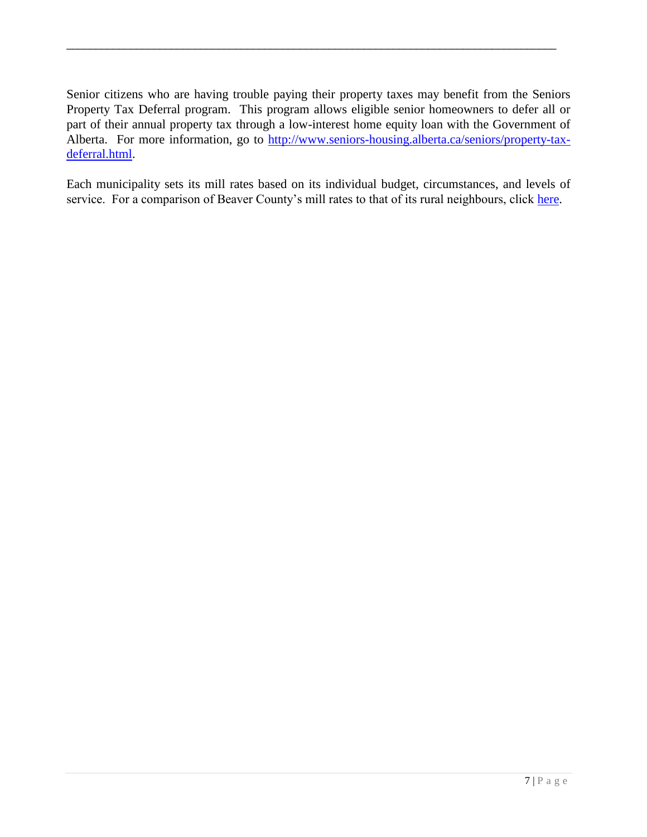Senior citizens who are having trouble paying their property taxes may benefit from the Seniors Property Tax Deferral program. This program allows eligible senior homeowners to defer all or part of their annual property tax through a low-interest home equity loan with the Government of Alberta. For more information, go to [http://www.seniors-housing.alberta.ca/seniors/property-tax](http://www.seniors-housing.alberta.ca/seniors/property-tax-deferral.html)[deferral.html.](http://www.seniors-housing.alberta.ca/seniors/property-tax-deferral.html)

\_\_\_\_\_\_\_\_\_\_\_\_\_\_\_\_\_\_\_\_\_\_\_\_\_\_\_\_\_\_\_\_\_\_\_\_\_\_\_\_\_\_\_\_\_\_\_\_\_\_\_\_\_\_\_\_\_\_\_\_\_\_\_\_\_\_\_\_\_\_\_\_\_\_\_\_\_\_\_\_\_\_\_\_

Each municipality sets its mill rates based on its individual budget, circumstances, and levels of service. For a comparison of Beaver County's mill rates to that of its rural neighbours, click [here.](http://site1.beaver.ab.ca.webguidecms.ca/public/download/documents/11157)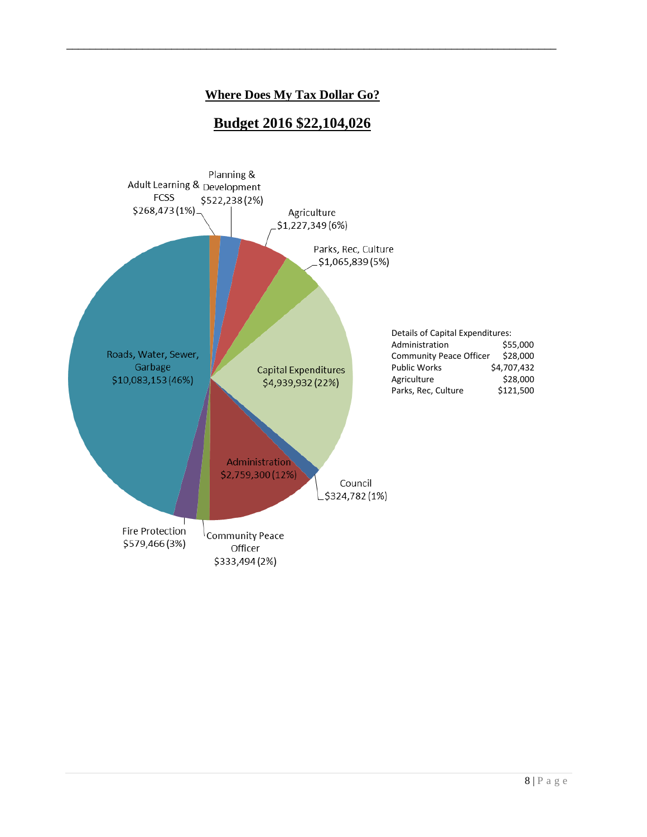## **Where Does My Tax Dollar Go?**

\_\_\_\_\_\_\_\_\_\_\_\_\_\_\_\_\_\_\_\_\_\_\_\_\_\_\_\_\_\_\_\_\_\_\_\_\_\_\_\_\_\_\_\_\_\_\_\_\_\_\_\_\_\_\_\_\_\_\_\_\_\_\_\_\_\_\_\_\_\_\_\_\_\_\_\_\_\_\_\_\_\_\_\_

## **Budget 2016 \$22,104,026**

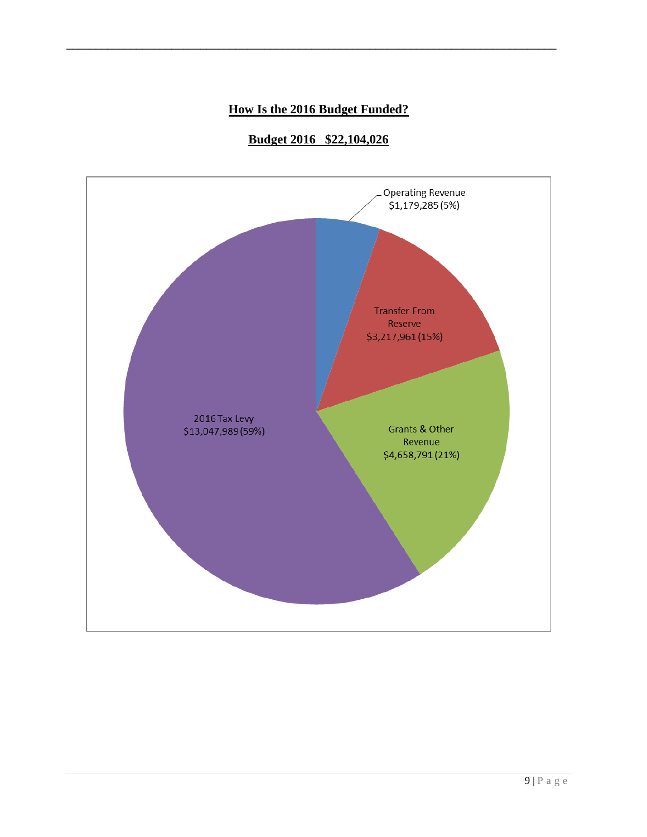## **How Is the 2016 Budget Funded?**

\_\_\_\_\_\_\_\_\_\_\_\_\_\_\_\_\_\_\_\_\_\_\_\_\_\_\_\_\_\_\_\_\_\_\_\_\_\_\_\_\_\_\_\_\_\_\_\_\_\_\_\_\_\_\_\_\_\_\_\_\_\_\_\_\_\_\_\_\_\_\_\_\_\_\_\_\_\_\_\_\_\_\_\_

## **Budget 2016 \$22,104,026**